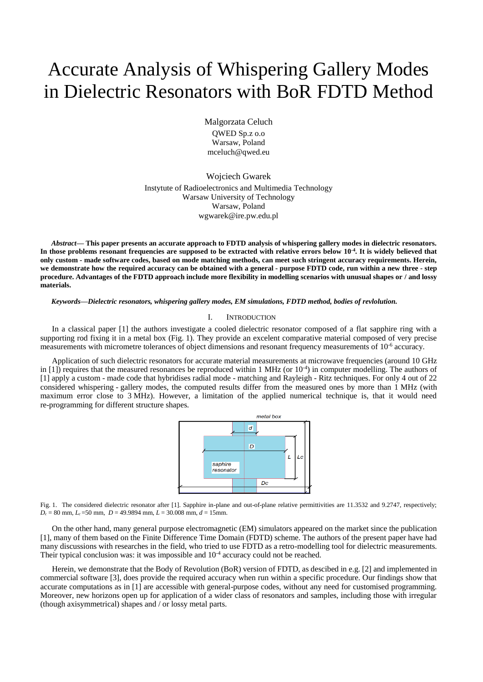# Accurate Analysis of Whispering Gallery Modes in Dielectric Resonators with BoR FDTD Method

Malgorzata Celuch QWED Sp.z o.o Warsaw, Poland mceluch@qwed.eu

Wojciech Gwarek Instytute of Radioelectronics and Multimedia Technology Warsaw University of Technology Warsaw, Poland wgwarek@ire.pw.edu.pl

*Abstract***— This paper presents an accurate approach to FDTD analysis of whispering gallery modes in dielectric resonators. In those problems resonant frequencies are supposed to be extracted with relative errors below 10-4 . It is widely believed that only custom - made software codes, based on mode matching methods, can meet such stringent accuracy requirements. Herein, we demonstrate how the required accuracy can be obtained with a general - purpose FDTD code, run within a new three - step procedure. Advantages of the FDTD approach include more flexibility in modelling scenarios with unusual shapes or / and lossy materials.**

*Keywords—Dielectric resonators, whispering gallery modes, EM simulations, FDTD method, bodies of revlolution.*

#### I. INTRODUCTION

In a classical paper [1] the authors investigate a cooled dielectric resonator composed of a flat sapphire ring with a supporting rod fixing it in a metal box (Fig. 1). They provide an excelent comparative material composed of very precise measurements with micrometre tolerances of object dimensions and resonant frequency measurements of 10<sup>-6</sup> accuracy.

Application of such dielectric resonators for accurate material measurements at microwave frequencies (around 10 GHz in  $[1]$ ) requires that the measured resonances be reproduced within 1 MHz (or  $10^{-4}$ ) in computer modelling. The authors of [1] apply a custom - made code that hybridises radial mode - matching and Rayleigh - Ritz techniques. For only 4 out of 22 considered whispering - gallery modes, the computed results differ from the measured ones by more than 1 MHz (with maximum error close to 3 MHz). However, a limitation of the applied numerical technique is, that it would need re-programming for different structure shapes.



Fig. 1. The considered dielectric resonator after [1]. Sapphire in-plane and out-of-plane relative permittivities are 11.3532 and 9.2747, respectively; *D<sup>c</sup>* = 80 mm, *L<sup>c</sup>* =50 mm, *D* = 49.9894 mm, *L* = 30.008 mm, *d* = 15mm.

On the other hand, many general purpose electromagnetic (EM) simulators appeared on the market since the publication [1], many of them based on the Finite Difference Time Domain (FDTD) scheme. The authors of the present paper have had many discussions with researches in the field, who tried to use FDTD as a retro-modelling tool for dielectric measurements. Their typical conclusion was: it was impossible and  $10^{-4}$  accuracy could not be reached.

Herein, we demonstrate that the Body of Revolution (BoR) version of FDTD, as descibed in e.g. [2] and implemented in commercial software [3], does provide the required accuracy when run within a specific procedure. Our findings show that accurate computations as in [1] are accessible with general-purpose codes, without any need for customised programming. Moreover, new horizons open up for application of a wider class of resonators and samples, including those with irregular (though axisymmetrical) shapes and / or lossy metal parts.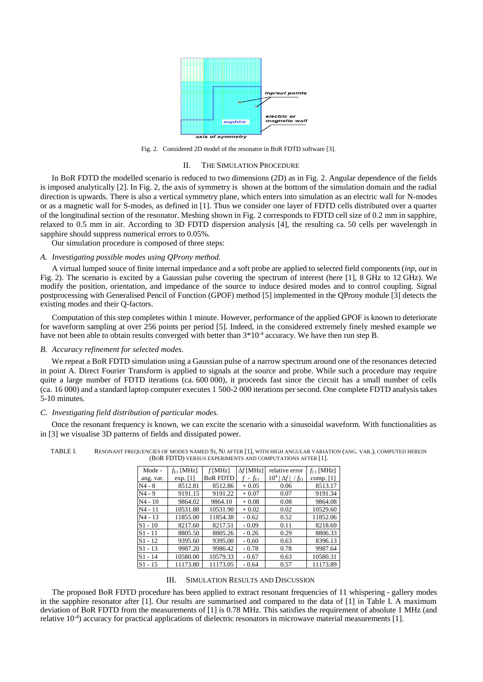

Fig. 2. Considered 2D model of the resonator in BoR FDTD software [3].

#### II. THE SIMULATION PROCEDURE

In BoR FDTD the modelled scenario is reduced to two dimensions (2D) as in Fig. 2. Angular dependence of the fields is imposed analytically [2]. In Fig. 2, the axis of symmetry is shown at the bottom of the simulation domain and the radial direction is upwards. There is also a vertical symmetry plane, which enters into simulation as an electric wall for N-modes or as a magnetic wall for S-modes, as defined in [1]. Thus we consider one layer of FDTD cells distributed over a quarter of the longitudinal section of the resonator. Meshing shown in Fig. 2 corresponds to FDTD cell size of 0.2 mm in sapphire, relaxed to 0.5 mm in air. According to 3D FDTD dispersion analysis [4], the resulting ca. 50 cells per wavelength in sapphire should suppress numerical errors to 0.05%.

Our simulation procedure is composed of three steps:

# *A. Investigating possible modes using QProny method.*

A virtual lumped souce of finite internal impedance and a soft probe are applied to selected field components (*inp*, *out* in Fig. 2). The scenario is excited by a Gaussian pulse covering the spectrum of interest (here [1], 8 GHz to 12 GHz). We modify the position, orientation, and impedance of the source to induce desired modes and to control coupling. Signal postprocessing with Generalised Pencil of Function (GPOF) method [5] implemented in the QProny module [3] detects the existing modes and their Q-factors.

Computation of this step completes within 1 minute. However, performance of the applied GPOF is known to deteriorate for waveform sampling at over 256 points per period [5]. Indeed, in the considered extremely finely meshed example we have not been able to obtain results converged with better than  $3*10<sup>-4</sup>$  accuracy. We have then run step B.

## *B. Accuracy refinement for selected modes.*

We repeat a BoR FDTD simulation using a Gaussian pulse of a narrow spectrum around one of the resonances detected in point A. Direct Fourier Transform is applied to signals at the source and probe. While such a procedure may require quite a large number of FDTD iterations (ca. 600 000), it proceeds fast since the circuit has a small number of cells (ca. 16 000) and a standard laptop computer executes 1 500-2 000 iterations per second. One complete FDTD analysis takes 5-10 minutes.

## *C. Investigating field distribution of particular modes.*

Once the resonant frequency is known, we can excite the scenario with a sinusoidal waveform. With functionalities as in [3] we visualise 3D patterns of fields and dissipated power.

| Mode -    | $f_{E1}$ [MHz] | f[MHz]          | $\Delta f$ [MHz] | relative error             | $f_{C1}$ [MHz] |
|-----------|----------------|-----------------|------------------|----------------------------|----------------|
| ang. var. | exp. $[1]$     | <b>BoR FDTD</b> | $f$ - $f_{E1}$   | $10^4  \Delta f  / f_{E1}$ | comp. $[1]$    |
| N4 - 8    | 8512.81        | 8512.86         | $+0.05$          | 0.06                       | 8513.17        |
| N4 - 9    | 9191.15        | 9191.22         | $+0.07$          | 0.07                       | 9191.34        |
| $N4 - 10$ | 9864.02        | 9864.10         | $+0.08$          | 0.08                       | 9864.08        |
| N4 - 11   | 10531.88       | 10531.90        | $+0.02$          | 0.02                       | 10529.60       |
| $N4 - 13$ | 11855.00       | 11854.38        | $-0.62$          | 0.52                       | 11852.06       |
| $S1 - 10$ | 8217.60        | 8217.51         | $-0.09$          | 0.11                       | 8218.69        |
| $S1 - 11$ | 8805.50        | 8805.26         | $-0.26$          | 0.29                       | 8806.33        |
| $S1 - 12$ | 9395.60        | 9395.00         | $-0.60$          | 0.63                       | 8396.13        |
| $S1 - 13$ | 9987.20        | 9986.42         | $-0.78$          | 0.78                       | 9987.64        |
| $S1 - 14$ | 10580.00       | 10579.33        | $-0.67$          | 0.63                       | 10580.31       |
| $S1 - 15$ | 11173.80       | 11173.05        | $-0.64$          | 0.57                       | 11173.89       |

TABLE I. RESONANT FREQUENCIES OF MODES NAMED SI, NJ AFTER [1], WITH HIGH ANGULAR VARIATION (ANG. VAR.), COMPUTED HEREIN (BOR FDTD) VERSUS EXPERIMENTS AND COMPUTATIONS AFTER [1].

#### III. SIMULATION RESULTS AND DISCUSSION

The proposed BoR FDTD procedure has been applied to extract resonant frequencies of 11 whispering - gallery modes in the sapphire resonator after [1]. Our results are summarised and compared to the data of [1] in Table I. A maximum deviation of BoR FDTD from the measurements of [1] is 0.78 MHz. This satisfies the requirement of absolute 1 MHz (and relative 10<sup>-4</sup>) accuracy for practical applications of dielectric resonators in microwave material measurements [1].